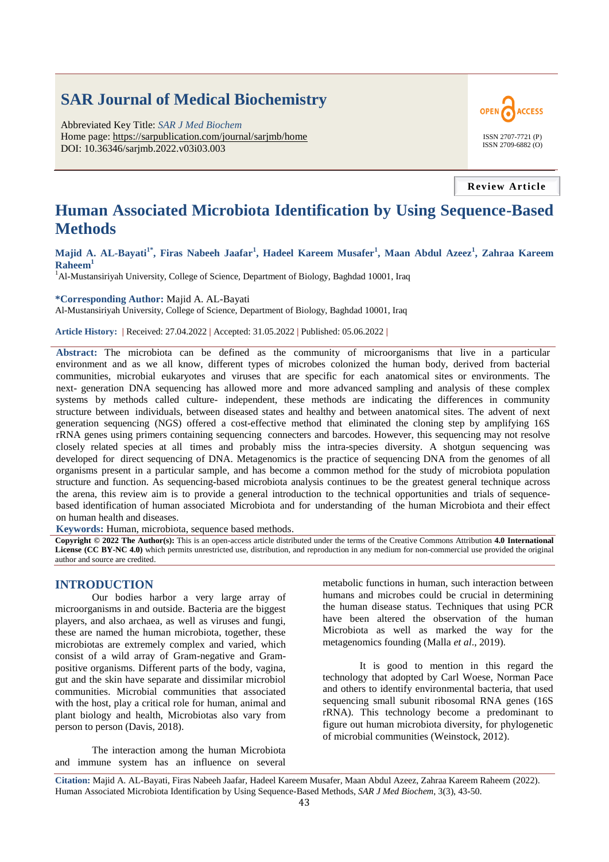# **SAR Journal of Medical Biochemistry**

Abbreviated Key Title: *SAR J Med Biochem* Home page: https://sarpublication.com/journal/sarjmb/home DOI: 10.36346/sarjmb.2022.v03i03.003



**Review Article**

# **Human Associated Microbiota Identification by Using Sequence-Based Methods**

**Majid A. AL-Bayati1\*, Firas Nabeeh Jaafar<sup>1</sup> , Hadeel Kareem Musafer<sup>1</sup> , Maan Abdul Azeez<sup>1</sup> , Zahraa Kareem Raheem<sup>1</sup>**

<sup>1</sup>Al-Mustansiriyah University, College of Science, Department of Biology, Baghdad 10001, Iraq

**\*Corresponding Author:** Majid A. AL-Bayati

Al-Mustansiriyah University, College of Science, Department of Biology, Baghdad 10001, Iraq

**Article History: |** Received: 27.04.2022 **|** Accepted: 31.05.2022 **|** Published: 05.06.2022 **|**

**Abstract:** The microbiota can be defined as the community of microorganisms that live in a particular environment and as we all know, different types of microbes colonized the human body, derived from bacterial communities, microbial eukaryotes and viruses that are specific for each anatomical sites or environments. The next- generation DNA sequencing has allowed more and more advanced sampling and analysis of these complex systems by methods called culture- independent, these methods are indicating the differences in community structure between individuals, between diseased states and healthy and between anatomical sites. The advent of next generation sequencing (NGS) offered a cost-effective method that eliminated the cloning step by amplifying 16S rRNA genes using primers containing sequencing connecters and barcodes. However, this sequencing may not resolve closely related species at all times and probably miss the intra-species diversity. A shotgun sequencing was developed for direct sequencing of DNA. Metagenomics is the practice of sequencing DNA from the genomes of all organisms present in a particular sample, and has become a common method for the study of microbiota population structure and function. As sequencing-based microbiota analysis continues to be the greatest general technique across the arena, this review aim is to provide a general introduction to the technical opportunities and trials of sequencebased identification of human associated Microbiota and for understanding of the human Microbiota and their effect on human health and diseases.

**Keywords:** Human, microbiota, sequence based methods.

**Copyright © 2022 The Author(s):** This is an open-access article distributed under the terms of the Creative Commons Attribution **4.0 International**  License (CC BY-NC 4.0) which permits unrestricted use, distribution, and reproduction in any medium for non-commercial use provided the original author and source are credited.

### **INTRODUCTION**

Our bodies harbor a very large array of microorganisms in and outside. Bacteria are the biggest players, and also archaea, as well as viruses and fungi, these are named the human microbiota, together, these microbiotas are extremely complex and varied, which consist of a wild array of Gram-negative and Grampositive organisms. Different parts of the body, vagina, gut and the skin have separate and dissimilar microbiol communities. Microbial communities that associated with the host, play a critical role for human, animal and plant biology and health, Microbiotas also vary from person to person (Davis, 2018).

The interaction among the human Microbiota and immune system has an influence on several

metabolic functions in human, such interaction between humans and microbes could be crucial in determining the human disease status. Techniques that using PCR have been altered the observation of the human Microbiota as well as marked the way for the metagenomics founding (Malla *et al*., 2019).

It is good to mention in this regard the technology that adopted by Carl Woese, Norman Pace and others to identify environmental bacteria, that used sequencing small subunit ribosomal RNA genes (16S rRNA). This technology become a predominant to figure out human microbiota diversity, for phylogenetic of microbial communities (Weinstock, 2012).

**Citation:** Majid A. AL-Bayati, Firas Nabeeh Jaafar, Hadeel Kareem Musafer, Maan Abdul Azeez, Zahraa Kareem Raheem (2022). Human Associated Microbiota Identification by Using Sequence-Based Methods, *SAR J Med Biochem*, 3(3), 43-50.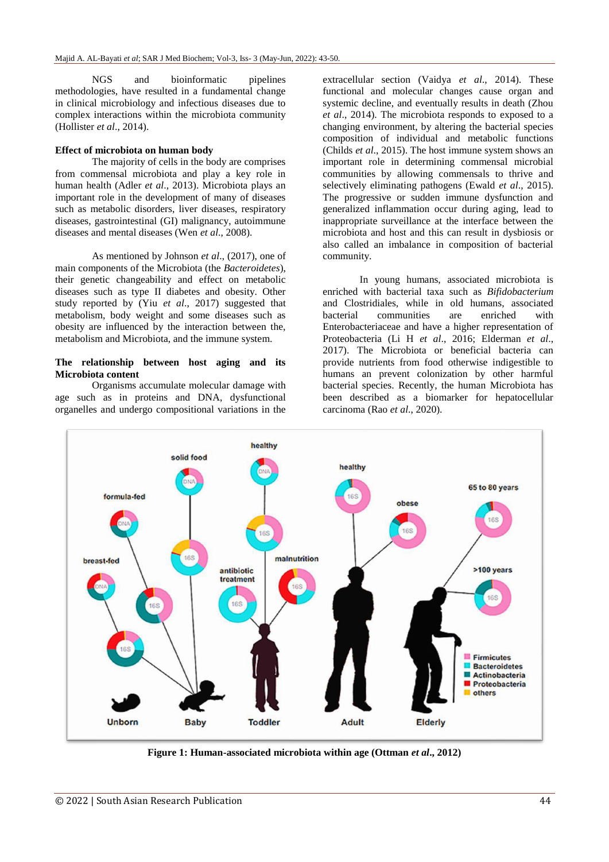NGS and bioinformatic pipelines methodologies, have resulted in a fundamental change in clinical microbiology and infectious diseases due to complex interactions within the microbiota community (Hollister *et al*., 2014).

#### **Effect of microbiota on human body**

The majority of cells in the body are comprises from commensal microbiota and play a key role in human health (Adler *et al*., 2013). Microbiota plays an important role in the development of many of diseases such as metabolic disorders, liver diseases, respiratory diseases, gastrointestinal (GI) malignancy, autoimmune diseases and mental diseases (Wen *et al*., 2008).

As mentioned by Johnson *et al*., (2017), one of main components of the Microbiota (the *Bacteroidetes*), their genetic changeability and effect on metabolic diseases such as type II diabetes and obesity. Other study reported by (Yiu *et al*., 2017) suggested that metabolism, body weight and some diseases such as obesity are influenced by the interaction between the, metabolism and Microbiota, and the immune system.

#### **The relationship between host aging and its Microbiota content**

Organisms accumulate molecular damage with age such as in proteins and DNA, dysfunctional organelles and undergo compositional variations in the extracellular section (Vaidya *et al*., 2014). These functional and molecular changes cause organ and systemic decline, and eventually results in death (Zhou *et al*., 2014). The microbiota responds to exposed to a changing environment, by altering the bacterial species composition of individual and metabolic functions (Childs *et al*., 2015). The host immune system shows an important role in determining commensal microbial communities by allowing commensals to thrive and selectively eliminating pathogens (Ewald *et al*., 2015). The progressive or sudden immune dysfunction and generalized inflammation occur during aging, lead to inappropriate surveillance at the interface between the microbiota and host and this can result in dysbiosis or also called an imbalance in composition of bacterial community.

In young humans, associated microbiota is enriched with bacterial taxa such as *Bifidobacterium*  and Clostridiales, while in old humans, associated bacterial communities are enriched with Enterobacteriaceae and have a higher representation of Proteobacteria (Li H *et al*., 2016; Elderman *et al*., 2017). The Microbiota or beneficial bacteria can provide nutrients from food otherwise indigestible to humans an prevent colonization by other harmful bacterial species. Recently, the human Microbiota has been described as a biomarker for hepatocellular carcinoma (Rao *et al*., 2020).



**Figure 1: Human-associated microbiota within age (Ottman** *et al***., 2012)**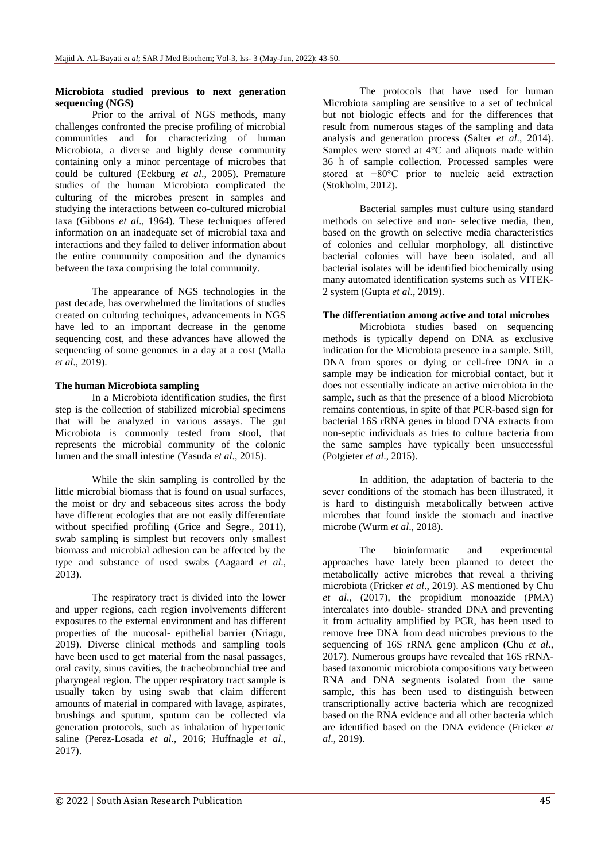#### **Microbiota studied previous to next generation sequencing (NGS)**

Prior to the arrival of NGS methods, many challenges confronted the precise profiling of microbial communities and for characterizing of human Microbiota, a diverse and highly dense community containing only a minor percentage of microbes that could be cultured (Eckburg *et al*., 2005). Premature studies of the human Microbiota complicated the culturing of the microbes present in samples and studying the interactions between co-cultured microbial taxa (Gibbons *et al*., 1964). These techniques offered information on an inadequate set of microbial taxa and interactions and they failed to deliver information about the entire community composition and the dynamics between the taxa comprising the total community.

The appearance of NGS technologies in the past decade, has overwhelmed the limitations of studies created on culturing techniques, advancements in NGS have led to an important decrease in the genome sequencing cost, and these advances have allowed the sequencing of some genomes in a day at a cost (Malla *et al*., 2019).

## **The human Microbiota sampling**

In a Microbiota identification studies, the first step is the collection of stabilized microbial specimens that will be analyzed in various assays. The gut Microbiota is commonly tested from stool, that represents the microbial community of the colonic lumen and the small intestine (Yasuda *et al*., 2015).

While the skin sampling is controlled by the little microbial biomass that is found on usual surfaces, the moist or dry and sebaceous sites across the body have different ecologies that are not easily differentiate without specified profiling (Grice and Segre., 2011), swab sampling is simplest but recovers only smallest biomass and microbial adhesion can be affected by the type and substance of used swabs (Aagaard *et al*., 2013).

The respiratory tract is divided into the lower and upper regions, each region involvements different exposures to the external environment and has different properties of the mucosal- epithelial barrier (Nriagu, 2019). Diverse clinical methods and sampling tools have been used to get material from the nasal passages, oral cavity, sinus cavities, the tracheobronchial tree and pharyngeal region. The upper respiratory tract sample is usually taken by using swab that claim different amounts of material in compared with lavage, aspirates, brushings and sputum, sputum can be collected via generation protocols, such as inhalation of hypertonic saline (Perez-Losada *et al.*, 2016; Huffnagle *et al*., 2017).

The protocols that have used for human Microbiota sampling are sensitive to a set of technical but not biologic effects and for the differences that result from numerous stages of the sampling and data analysis and generation process (Salter *et al*., 2014). Samples were stored at 4°C and aliquots made within 36 h of sample collection. Processed samples were stored at −80°C prior to nucleic acid extraction (Stokholm, 2012).

Bacterial samples must culture using standard methods on selective and non- selective media, then, based on the growth on selective media characteristics of colonies and cellular morphology, all distinctive bacterial colonies will have been isolated, and all bacterial isolates will be identified biochemically using many automated identification systems such as VITEK-2 system (Gupta *et al*., 2019).

## **The differentiation among active and total microbes**

Microbiota studies based on sequencing methods is typically depend on DNA as exclusive indication for the Microbiota presence in a sample. Still, DNA from spores or dying or cell-free DNA in a sample may be indication for microbial contact, but it does not essentially indicate an active microbiota in the sample, such as that the presence of a blood Microbiota remains contentious, in spite of that PCR-based sign for bacterial 16S rRNA genes in blood DNA extracts from non-septic individuals as tries to culture bacteria from the same samples have typically been unsuccessful (Potgieter *et al*., 2015).

In addition, the adaptation of bacteria to the sever conditions of the stomach has been illustrated, it is hard to distinguish metabolically between active microbes that found inside the stomach and inactive microbe (Wurm *et al*., 2018).

The bioinformatic and experimental approaches have lately been planned to detect the metabolically active microbes that reveal a thriving microbiota (Fricker *et al*., 2019). AS mentioned by Chu *et al*., (2017), the propidium monoazide (PMA) intercalates into double- stranded DNA and preventing it from actuality amplified by PCR, has been used to remove free DNA from dead microbes previous to the sequencing of 16S rRNA gene amplicon (Chu *et al*., 2017). Numerous groups have revealed that 16S rRNAbased taxonomic microbiota compositions vary between RNA and DNA segments isolated from the same sample, this has been used to distinguish between transcriptionally active bacteria which are recognized based on the RNA evidence and all other bacteria which are identified based on the DNA evidence (Fricker *et al*., 2019).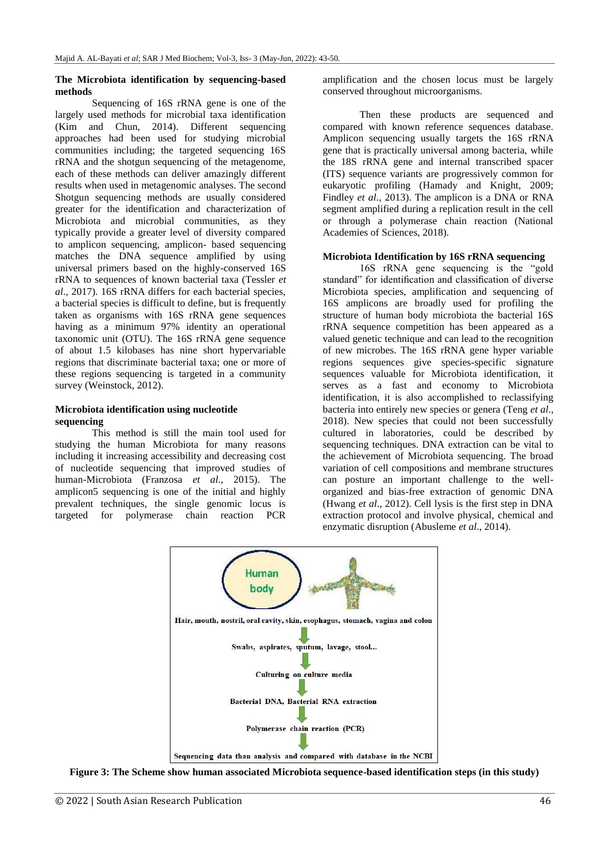#### **The Microbiota identification by sequencing-based methods**

Sequencing of 16S rRNA gene is one of the largely used methods for microbial taxa identification (Kim and Chun, 2014). Different sequencing approaches had been used for studying microbial communities including; the targeted sequencing 16S rRNA and the shotgun sequencing of the metagenome, each of these methods can deliver amazingly different results when used in metagenomic analyses. The second Shotgun sequencing methods are usually considered greater for the identification and characterization of Microbiota and microbial communities, as they typically provide a greater level of diversity compared to amplicon sequencing, amplicon- based sequencing matches the DNA sequence amplified by using universal primers based on the highly-conserved 16S rRNA to sequences of known bacterial taxa (Tessler *et al*., 2017). 16S rRNA differs for each bacterial species, a bacterial species is difficult to define, but is frequently taken as organisms with 16S rRNA gene sequences having as a minimum 97% identity an operational taxonomic unit (OTU). The 16S rRNA gene sequence of about 1.5 kilobases has nine short hypervariable regions that discriminate bacterial taxa; one or more of these regions sequencing is targeted in a community survey (Weinstock, 2012).

### **Microbiota identification using nucleotide sequencing**

This method is still the main tool used for studying the human Microbiota for many reasons including it increasing accessibility and decreasing cost of nucleotide sequencing that improved studies of human-Microbiota (Franzosa *et al*., 2015). The amplicon5 sequencing is one of the initial and highly prevalent techniques, the single genomic locus is targeted for polymerase chain reaction PCR

amplification and the chosen locus must be largely conserved throughout microorganisms.

Then these products are sequenced and compared with known reference sequences database. Amplicon sequencing usually targets the 16S rRNA gene that is practically universal among bacteria, while the 18S rRNA gene and internal transcribed spacer (ITS) sequence variants are progressively common for eukaryotic profiling (Hamady and Knight, 2009; Findley *et al*., 2013). The amplicon is a DNA or RNA segment amplified during a replication result in the cell or through a polymerase chain reaction (National Academies of Sciences, 2018).

## **Microbiota Identification by 16S rRNA sequencing**

16S rRNA gene sequencing is the "gold" standard" for identification and classification of diverse Microbiota species, amplification and sequencing of 16S amplicons are broadly used for profiling the structure of human body microbiota the bacterial 16S rRNA sequence competition has been appeared as a valued genetic technique and can lead to the recognition of new microbes. The 16S rRNA gene hyper variable regions sequences give species-specific signature sequences valuable for Microbiota identification, it serves as a fast and economy to Microbiota identification, it is also accomplished to reclassifying bacteria into entirely new species or genera (Teng *et al*., 2018). New species that could not been successfully cultured in laboratories, could be described by sequencing techniques. DNA extraction can be vital to the achievement of Microbiota sequencing. The broad variation of cell compositions and membrane structures can posture an important challenge to the wellorganized and bias-free extraction of genomic DNA (Hwang *et al*., 2012). Cell lysis is the first step in DNA extraction protocol and involve physical, chemical and enzymatic disruption (Abusleme *et al*., 2014).



**Figure 3: The Scheme show human associated Microbiota sequence-based identification steps (in this study)**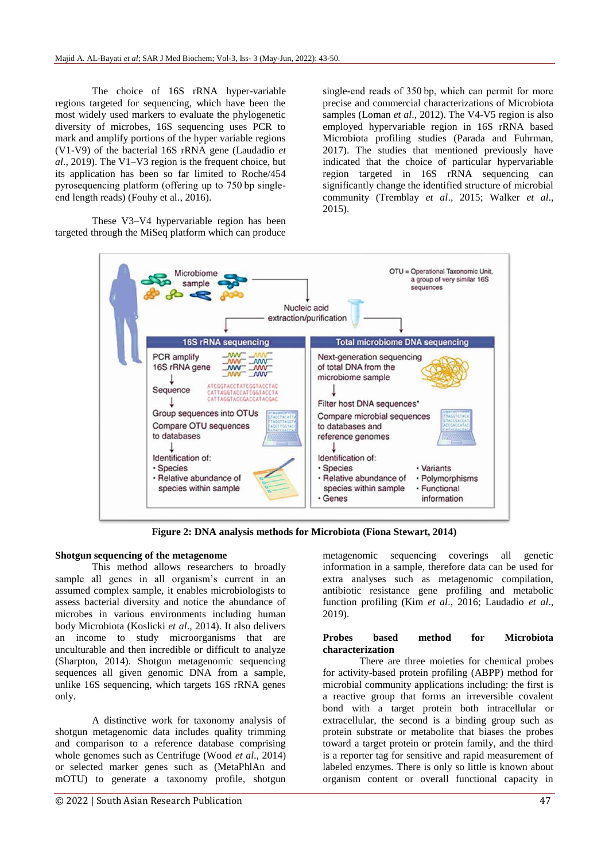The choice of 16S rRNA hyper-variable regions targeted for sequencing, which have been the most widely used markers to evaluate the phylogenetic diversity of microbes, 16S sequencing uses PCR to mark and amplify portions of the hyper variable regions (V1-V9) of the bacterial 16S rRNA gene (Laudadio *et al*., 2019). The V1–V3 region is the frequent choice, but its application has been so far limited to Roche/454 pyrosequencing platform (offering up to 750 bp singleend length reads) (Fouhy et al., 2016).

These V3–V4 hypervariable region has been targeted through the MiSeq platform which can produce single-end reads of 350 bp, which can permit for more precise and commercial characterizations of Microbiota samples (Loman *et al*., 2012). The V4-V5 region is also employed hypervariable region in 16S rRNA based Microbiota profiling studies (Parada and Fuhrman, 2017). The studies that mentioned previously have indicated that the choice of particular hypervariable region targeted in 16S rRNA sequencing can significantly change the identified structure of microbial community (Tremblay *et al*., 2015; Walker *et al*., 2015).



**Figure 2: DNA analysis methods for Microbiota (Fiona Stewart, 2014)**

### **Shotgun sequencing of the metagenome**

This method allows researchers to broadly sample all genes in all organism's current in an assumed complex sample, it enables microbiologists to assess bacterial diversity and notice the abundance of microbes in various environments including human body Microbiota (Koslicki *et al*., 2014). It also delivers an income to study microorganisms that are unculturable and then incredible or difficult to analyze (Sharpton, 2014). Shotgun metagenomic sequencing sequences all given genomic DNA from a sample, unlike 16S sequencing, which targets 16S rRNA genes only.

A distinctive work for taxonomy analysis of shotgun metagenomic data includes quality trimming and comparison to a reference database comprising whole genomes such as Centrifuge (Wood *et al*., 2014) or selected marker genes such as (MetaPhlAn and mOTU) to generate a taxonomy profile, shotgun

metagenomic sequencing coverings all genetic information in a sample, therefore data can be used for extra analyses such as metagenomic compilation, antibiotic resistance gene profiling and metabolic function profiling (Kim *et al*., 2016; Laudadio *et al*., 2019).

#### **Probes based method for Microbiota characterization**

There are three moieties for chemical probes for activity-based protein profiling (ABPP) method for microbial community applications including: the first is a reactive group that forms an irreversible covalent bond with a target protein both intracellular or extracellular, the second is a binding group such as protein substrate or metabolite that biases the probes toward a target protein or protein family, and the third is a reporter tag for sensitive and rapid measurement of labeled enzymes. There is only so little is known about organism content or overall functional capacity in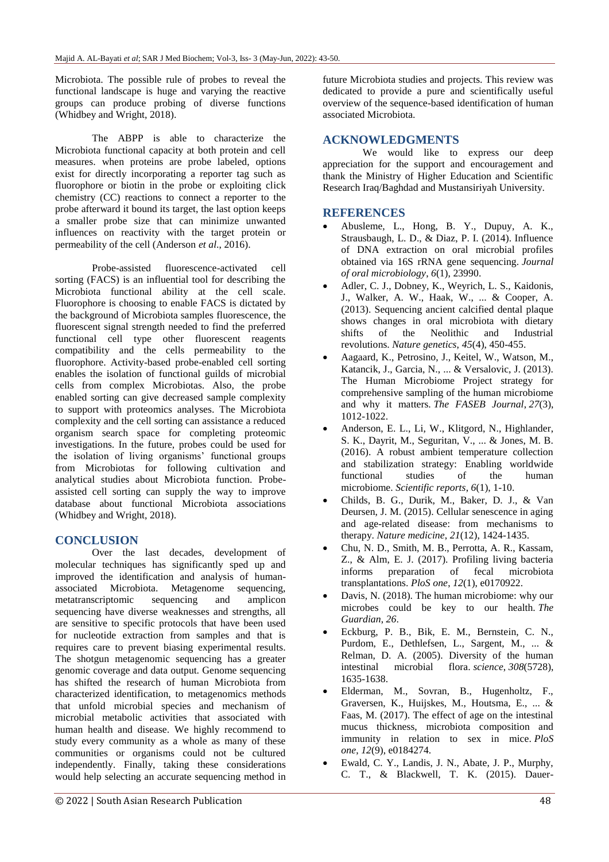Microbiota. The possible rule of probes to reveal the functional landscape is huge and varying the reactive groups can produce probing of diverse functions (Whidbey and Wright, 2018).

The ABPP is able to characterize the Microbiota functional capacity at both protein and cell measures. when proteins are probe labeled, options exist for directly incorporating a reporter tag such as fluorophore or biotin in the probe or exploiting click chemistry (CC) reactions to connect a reporter to the probe afterward it bound its target, the last option keeps a smaller probe size that can minimize unwanted influences on reactivity with the target protein or permeability of the cell (Anderson *et al*., 2016).

Probe-assisted fluorescence-activated cell sorting (FACS) is an influential tool for describing the Microbiota functional ability at the cell scale. Fluorophore is choosing to enable FACS is dictated by the background of Microbiota samples fluorescence, the fluorescent signal strength needed to find the preferred functional cell type other fluorescent reagents compatibility and the cells permeability to the fluorophore. Activity-based probe-enabled cell sorting enables the isolation of functional guilds of microbial cells from complex Microbiotas. Also, the probe enabled sorting can give decreased sample complexity to support with proteomics analyses. The Microbiota complexity and the cell sorting can assistance a reduced organism search space for completing proteomic investigations. In the future, probes could be used for the isolation of living organisms' functional groups from Microbiotas for following cultivation and analytical studies about Microbiota function. Probeassisted cell sorting can supply the way to improve database about functional Microbiota associations (Whidbey and Wright, 2018).

# **CONCLUSION**

Over the last decades, development of molecular techniques has significantly sped up and improved the identification and analysis of humanassociated Microbiota. Metagenome sequencing, metatranscriptomic sequencing and amplicon sequencing have diverse weaknesses and strengths, all are sensitive to specific protocols that have been used for nucleotide extraction from samples and that is requires care to prevent biasing experimental results. The shotgun metagenomic sequencing has a greater genomic coverage and data output. Genome sequencing has shifted the research of human Microbiota from characterized identification, to metagenomics methods that unfold microbial species and mechanism of microbial metabolic activities that associated with human health and disease. We highly recommend to study every community as a whole as many of these communities or organisms could not be cultured independently. Finally, taking these considerations would help selecting an accurate sequencing method in

future Microbiota studies and projects. This review was dedicated to provide a pure and scientifically useful overview of the sequence-based identification of human associated Microbiota.

## **ACKNOWLEDGMENTS**

We would like to express our deep appreciation for the support and encouragement and thank the Ministry of Higher Education and Scientific Research Iraq/Baghdad and Mustansiriyah University.

## **REFERENCES**

- Abusleme, L., Hong, B. Y., Dupuy, A. K., Strausbaugh, L. D., & Diaz, P. I. (2014). Influence of DNA extraction on oral microbial profiles obtained via 16S rRNA gene sequencing. *Journal of oral microbiology*, *6*(1), 23990.
- Adler, C. J., Dobney, K., Weyrich, L. S., Kaidonis, J., Walker, A. W., Haak, W., ... & Cooper, A. (2013). Sequencing ancient calcified dental plaque shows changes in oral microbiota with dietary shifts of the Neolithic and Industrial revolutions. *Nature genetics*, *45*(4), 450-455.
- Aagaard, K., Petrosino, J., Keitel, W., Watson, M., Katancik, J., Garcia, N., ... & Versalovic, J. (2013). The Human Microbiome Project strategy for comprehensive sampling of the human microbiome and why it matters. *The FASEB Journal*, *27*(3), 1012-1022.
- Anderson, E. L., Li, W., Klitgord, N., Highlander, S. K., Dayrit, M., Seguritan, V., ... & Jones, M. B. (2016). A robust ambient temperature collection and stabilization strategy: Enabling worldwide functional studies of the human microbiome. *Scientific reports*, *6*(1), 1-10.
- Childs, B. G., Durik, M., Baker, D. J., & Van Deursen, J. M. (2015). Cellular senescence in aging and age-related disease: from mechanisms to therapy. *Nature medicine*, *21*(12), 1424-1435.
- Chu, N. D., Smith, M. B., Perrotta, A. R., Kassam, Z., & Alm, E. J. (2017). Profiling living bacteria informs preparation of fecal microbiota transplantations. *PloS one*, *12*(1), e0170922.
- Davis, N. (2018). The human microbiome: why our microbes could be key to our health. *The Guardian*, *26*.
- Eckburg, P. B., Bik, E. M., Bernstein, C. N., Purdom, E., Dethlefsen, L., Sargent, M., ... & Relman, D. A. (2005). Diversity of the human intestinal microbial flora. *science*, *308*(5728), 1635-1638.
- Elderman, M., Sovran, B., Hugenholtz, F., Graversen, K., Huijskes, M., Houtsma, E., ... & Faas, M. (2017). The effect of age on the intestinal mucus thickness, microbiota composition and immunity in relation to sex in mice. *PloS one*, *12*(9), e0184274.
- Ewald, C. Y., Landis, J. N., Abate, J. P., Murphy, C. T., & Blackwell, T. K. (2015). Dauer-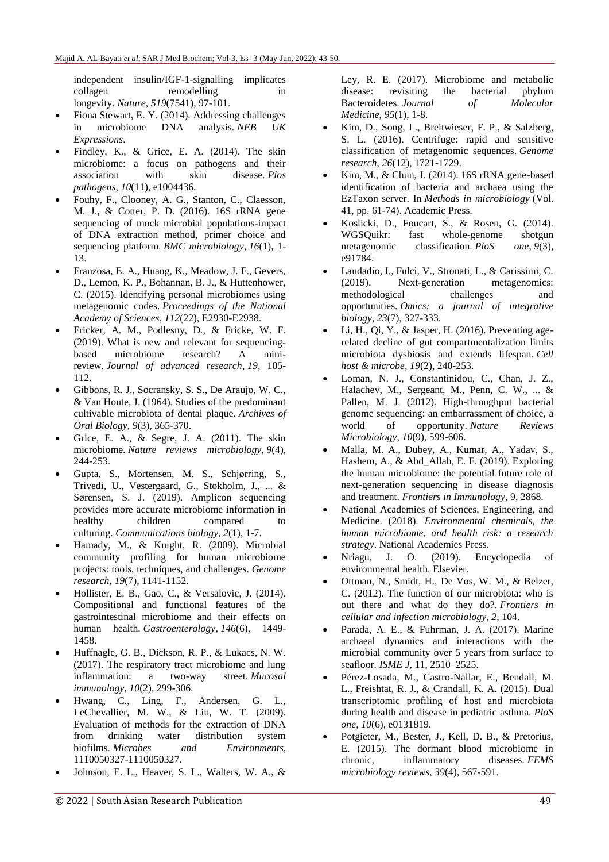independent insulin/IGF-1-signalling implicates collagen remodelling in longevity. *Nature*, *519*(7541), 97-101.

- Fiona Stewart, E. Y. (2014). Addressing challenges in microbiome DNA analysis. *NEB UK Expressions*.
- Findley, K., & Grice, E. A. (2014). The skin microbiome: a focus on pathogens and their association with skin disease. *Plos pathogens*, *10*(11), e1004436.
- Fouhy, F., Clooney, A. G., Stanton, C., Claesson, M. J., & Cotter, P. D. (2016). 16S rRNA gene sequencing of mock microbial populations-impact of DNA extraction method, primer choice and sequencing platform. *BMC microbiology*, *16*(1), 1- 13.
- Franzosa, E. A., Huang, K., Meadow, J. F., Gevers, D., Lemon, K. P., Bohannan, B. J., & Huttenhower, C. (2015). Identifying personal microbiomes using metagenomic codes. *Proceedings of the National Academy of Sciences*, *112*(22), E2930-E2938.
- Fricker, A. M., Podlesny, D., & Fricke, W. F. (2019). What is new and relevant for sequencingbased microbiome research? A minireview. *Journal of advanced research*, *19*, 105- 112.
- Gibbons, R. J., Socransky, S. S., De Araujo, W. C., & Van Houte, J. (1964). Studies of the predominant cultivable microbiota of dental plaque. *Archives of Oral Biology*, *9*(3), 365-370.
- Grice, E. A., & Segre, J. A. (2011). The skin microbiome. *Nature reviews microbiology*, *9*(4), 244-253.
- Gupta, S., Mortensen, M. S., Schjørring, S., Trivedi, U., Vestergaard, G., Stokholm, J., ... & Sørensen, S. J. (2019). Amplicon sequencing provides more accurate microbiome information in healthy children compared to culturing. *Communications biology*, *2*(1), 1-7.
- Hamady, M., & Knight, R. (2009). Microbial community profiling for human microbiome projects: tools, techniques, and challenges. *Genome research*, *19*(7), 1141-1152.
- Hollister, E. B., Gao, C., & Versalovic, J. (2014). Compositional and functional features of the gastrointestinal microbiome and their effects on human health. *Gastroenterology*, *146*(6), 1449- 1458.
- Huffnagle, G. B., Dickson, R. P., & Lukacs, N. W. (2017). The respiratory tract microbiome and lung inflammation: a two-way street. *Mucosal immunology*, *10*(2), 299-306.
- Hwang, C., Ling, F., Andersen, G. L., LeChevallier, M. W., & Liu, W. T. (2009). Evaluation of methods for the extraction of DNA from drinking water distribution system biofilms. *Microbes and Environments*, 1110050327-1110050327.
- Johnson, E. L., Heaver, S. L., Walters, W. A., &

Ley, R. E. (2017). Microbiome and metabolic disease: revisiting the bacterial phylum Bacteroidetes. *Journal of Molecular Medicine*, *95*(1), 1-8.

- Kim, D., Song, L., Breitwieser, F. P., & Salzberg, S. L. (2016). Centrifuge: rapid and sensitive classification of metagenomic sequences. *Genome research*, *26*(12), 1721-1729.
- Kim, M., & Chun, J. (2014). 16S rRNA gene-based identification of bacteria and archaea using the EzTaxon server. In *Methods in microbiology* (Vol. 41, pp. 61-74). Academic Press.
- Koslicki, D., Foucart, S., & Rosen, G. (2014). WGSQuikr: fast whole-genome shotgun metagenomic classification. *PloS one*, *9*(3), e91784.
- Laudadio, I., Fulci, V., Stronati, L., & Carissimi, C. (2019). Next-generation metagenomics: methodological challenges and opportunities. *Omics: a journal of integrative biology*, *23*(7), 327-333.
- Li, H., Qi, Y., & Jasper, H. (2016). Preventing agerelated decline of gut compartmentalization limits microbiota dysbiosis and extends lifespan. *Cell host & microbe*, *19*(2), 240-253.
- Loman, N. J., Constantinidou, C., Chan, J. Z., Halachev, M., Sergeant, M., Penn, C. W., ... & Pallen, M. J. (2012). High-throughput bacterial genome sequencing: an embarrassment of choice, a world of opportunity. *Nature Reviews Microbiology*, *10*(9), 599-606.
- Malla, M. A., Dubey, A., Kumar, A., Yadav, S., Hashem, A., & Abd\_Allah, E. F. (2019). Exploring the human microbiome: the potential future role of next-generation sequencing in disease diagnosis and treatment. *Frontiers in Immunology*, 9, 2868.
- National Academies of Sciences, Engineering, and Medicine. (2018). *Environmental chemicals, the human microbiome, and health risk: a research strategy*. National Academies Press.
- Nriagu, J. O. (2019). Encyclopedia of environmental health. Elsevier.
- Ottman, N., Smidt, H., De Vos, W. M., & Belzer, C. (2012). The function of our microbiota: who is out there and what do they do?. *Frontiers in cellular and infection microbiology*, *2*, 104.
- Parada, A. E., & Fuhrman, J. A. (2017). Marine archaeal dynamics and interactions with the microbial community over 5 years from surface to seafloor. *ISME J,* 11, 2510–2525.
- Pérez-Losada, M., Castro-Nallar, E., Bendall, M. L., Freishtat, R. J., & Crandall, K. A. (2015). Dual transcriptomic profiling of host and microbiota during health and disease in pediatric asthma. *PloS one*, *10*(6), e0131819.
- Potgieter, M., Bester, J., Kell, D. B., & Pretorius, E. (2015). The dormant blood microbiome in chronic, inflammatory diseases. *FEMS microbiology reviews*, *39*(4), 567-591.